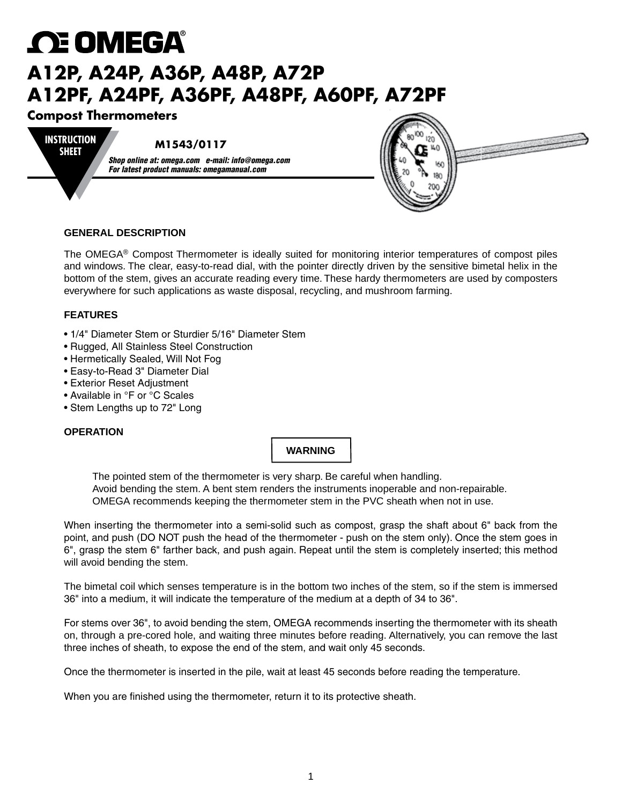# *C***E OMEGA A12P, A24P, A36P, A48P, A72P A12PF, A24PF, A36PF, A48PF, A60PF, A72PF**

# **Compost Thermometers**

#### **M1543/0117 INSTRUCTION SHEET**

*Shop online at: omega.com e-mail: info@omega.com For latest product manuals: omegamanual.com*



### **GENERAL DESCRIPTION**

The OMEGA® Compost Thermometer is ideally suited for monitoring interior temperatures of compost piles and windows. The clear, easy-to-read dial, with the pointer directly driven by the sensitive bimetal helix in the bottom of the stem, gives an accurate reading every time. These hardy thermometers are used by composters everywhere for such applications as waste disposal, recycling, and mushroom farming.

## **FEATURES**

- 1/4" Diameter Stem or Sturdier 5/16" Diameter Stem
- Rugged, All Stainless Steel Construction
- Hermetically Sealed, Will Not Fog
- Easy-to-Read 3" Diameter Dial
- Exterior Reset Adjustment
- Available in °F or °C Scales
- Stem Lengths up to 72" Long

### **OPERATION**

## **WARNING**

The pointed stem of the thermometer is very sharp. Be careful when handling. Avoid bending the stem. A bent stem renders the instruments inoperable and non-repairable. OMEGA recommends keeping the thermometer stem in the PVC sheath when not in use.

When inserting the thermometer into a semi-solid such as compost, grasp the shaft about 6" back from the point, and push (DO NOT push the head of the thermometer - push on the stem only). Once the stem goes in 6", grasp the stem 6" farther back, and push again. Repeat until the stem is completely inserted; this method will avoid bending the stem.

The bimetal coil which senses temperature is in the bottom two inches of the stem, so if the stem is immersed 36" into a medium, it will indicate the temperature of the medium at a depth of 34 to 36".

For stems over 36", to avoid bending the stem, OMEGA recommends inserting the thermometer with its sheath on, through a pre-cored hole, and waiting three minutes before reading. Alternatively, you can remove the last three inches of sheath, to expose the end of the stem, and wait only 45 seconds.

Once the thermometer is inserted in the pile, wait at least 45 seconds before reading the temperature.

When you are finished using the thermometer, return it to its protective sheath.